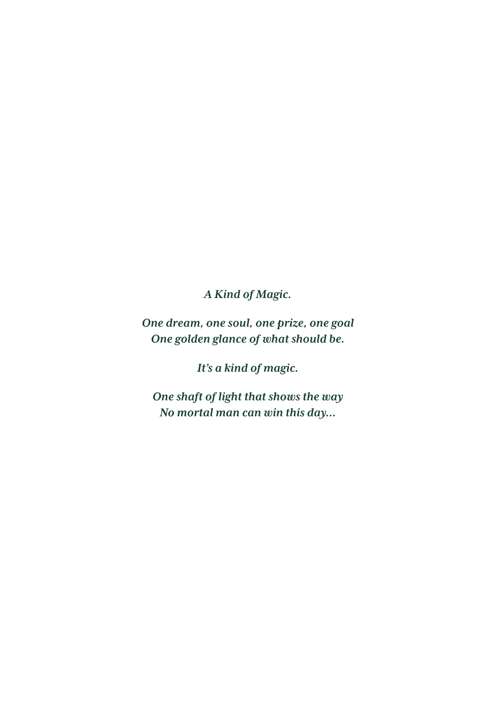*A Kind of Magic.*

*One dream, one soul, one prize, one goal One golden glance of what should be.*

*It's a kind of magic.*

*One shaft of light that shows the way No mortal man can win this day…*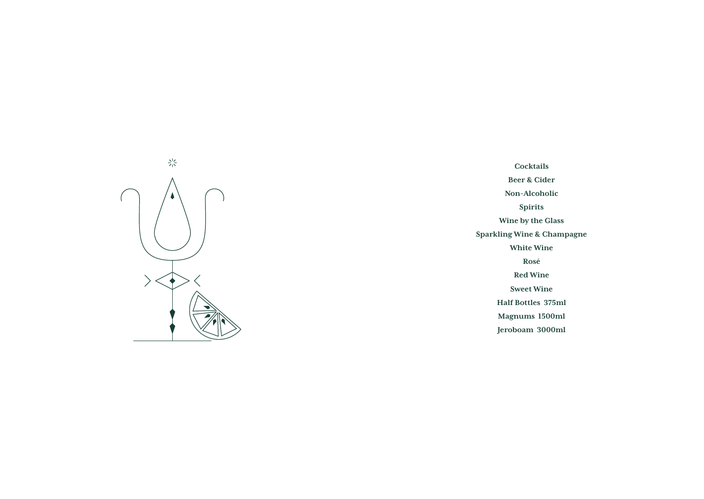

**Cocktails Beer & Cider Non-Alcoholic Spirits Wine by the Glass Sparkling Wine & Champagne White Wine Rosé Red Wine Sweet Wine Half Bottles 375ml Magnums 1500ml Jeroboam 3000ml**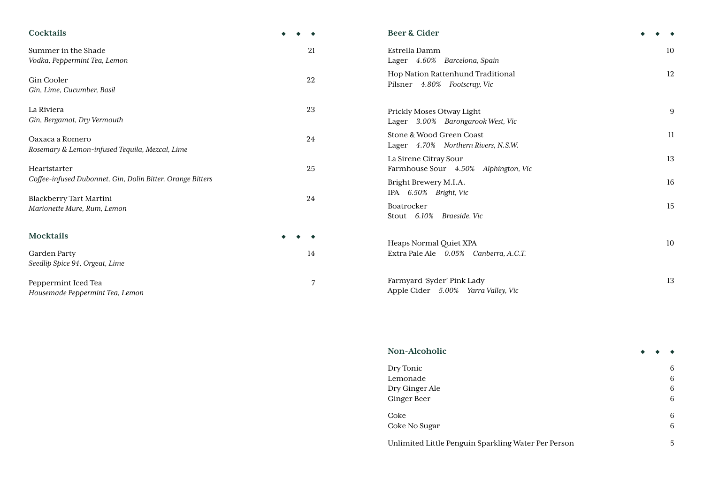| Cocktails                                                                             |    | Beer & Cider                                                      |         |
|---------------------------------------------------------------------------------------|----|-------------------------------------------------------------------|---------|
| Summer in the Shade<br>Vodka, Peppermint Tea, Lemon                                   | 21 | Estrella Damm<br>Lager 4.60% Barcelona, Spain                     | 10      |
| Gin Cooler<br>Gin, Lime, Cucumber, Basil                                              | 22 | Hop Nation Rattenhund Traditional<br>Pilsner 4.80% Footscray, Vic | 12      |
| La Riviera<br>Gin, Bergamot, Dry Vermouth                                             | 23 | Prickly Moses Otway Light<br>Lager 3.00% Barongarook West, Vic    | 9       |
| Oaxaca a Romero<br>Rosemary & Lemon-infused Tequila, Mezcal, Lime                     | 24 | Stone & Wood Green Coast<br>Lager 4.70% Northern Rivers, N.S.W.   | $_{11}$ |
| Heartstarter                                                                          | 25 | La Sirene Citray Sour<br>Farmhouse Sour 4.50% Alphington, Vic     | 13      |
| Coffee-infused Dubonnet, Gin, Dolin Bitter, Orange Bitters<br>Blackberry Tart Martini | 24 | Bright Brewery M.I.A.<br>IPA 6.50% Bright, Vic                    | 16      |
| Marionette Mure, Rum, Lemon                                                           |    | Boatrocker<br>Stout 6.10%<br>Braeside, Vic                        | 15      |
| Mocktails                                                                             |    | Heaps Normal Quiet XPA                                            | 10      |
| Garden Party<br>Seedlip Spice 94, Orgeat, Lime                                        | 14 | Extra Pale Ale 0.05% Canberra, A.C.T.                             |         |
| Peppermint Iced Tea<br>Housemade Peppermint Tea, Lemon                                | 7  | Farmyard 'Syder' Pink Lady<br>Apple Cider 5.00% Yarra Valley, Vic | 13      |

| Non-Alcoholic                                       |  |   |
|-----------------------------------------------------|--|---|
| Dry Tonic                                           |  | 6 |
| Lemonade                                            |  | 6 |
| Dry Ginger Ale                                      |  | 6 |
| Ginger Beer                                         |  | 6 |
| Coke                                                |  | 6 |
| Coke No Sugar                                       |  | 6 |
| Unlimited Little Penguin Sparkling Water Per Person |  | 5 |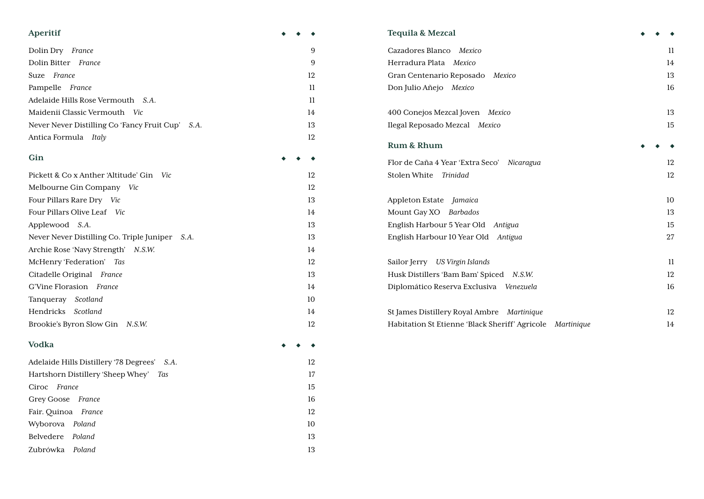| Aperitif                                         |                 | <b>Tequila &amp; Mezcal</b>                               |              |
|--------------------------------------------------|-----------------|-----------------------------------------------------------|--------------|
| Dolin Dry France                                 | 9               | Cazadores Blanco Mexico                                   | $\mathbf{u}$ |
| Dolin Bitter France                              | 9               | Herradura Plata Mexico                                    | 14           |
| Suze France                                      | 12              | Gran Centenario Reposado Mexico                           | 13           |
| Pampelle France                                  | 11              | Don Julio Añejo Mexico                                    | 16           |
| Adelaide Hills Rose Vermouth S.A.                | 11              |                                                           |              |
| Maidenii Classic Vermouth Vic                    | 14              | 400 Conejos Mezcal Joven Mexico                           | 13           |
| Never Never Distilling Co 'Fancy Fruit Cup' S.A. | 13              | Ilegal Reposado Mezcal Mexico                             | 15           |
| Antica Formula Italy                             | 12              | Rum & Rhum                                                |              |
| Gin                                              | $\blacklozenge$ | Flor de Caña 4 Year 'Extra Seco' Nicaragua                | 12           |
| Pickett & Co x Anther 'Altitude' Gin Vic         | 12              | Stolen White Trinidad                                     | 12           |
| Melbourne Gin Company Vic                        | 12              |                                                           |              |
| Four Pillars Rare Dry Vic                        | 13              | Appleton Estate Jamaica                                   | 10           |
| Four Pillars Olive Leaf Vic                      | 14              | Mount Gay XO Barbados                                     | 13           |
| Applewood S.A.                                   | 13              | English Harbour 5 Year Old Antigua                        | 15           |
| Never Never Distilling Co. Triple Juniper S.A.   | 13              | English Harbour 10 Year Old Antigua                       | $27\,$       |
| Archie Rose 'Navy Strength' N.S.W.               | 14              |                                                           |              |
| McHenry 'Federation' Tas                         | 12              | Sailor Jerry US Virgin Islands                            | 11           |
| Citadelle Original France                        | 13              | Husk Distillers 'Bam Bam' Spiced N.S.W.                   | 12           |
| G'Vine Florasion France                          | 14              | Diplomático Reserva Exclusiva Venezuela                   | 16           |
| Tanqueray Scotland                               | $10\,$          |                                                           |              |
| Hendricks Scotland                               | 14              | St James Distillery Royal Ambre Martinique                | 12           |
| Brookie's Byron Slow Gin N.S.W.                  | 12              | Habitation St Etienne 'Black Sheriff' Agricole Martinique | 14           |
| <b>Vodka</b>                                     | $\bullet$       |                                                           |              |
| Adelaide Hills Distillery '78 Degrees' S.A.      | 12              |                                                           |              |
| Hartshorn Distillery 'Sheep Whey' Tas            | $17\,$          |                                                           |              |
| Ciroc France                                     | 15              |                                                           |              |
| Grey Goose France                                | 16              |                                                           |              |
| Fair. Quinoa France                              | 12              |                                                           |              |
| Wyborova Poland                                  | 10              |                                                           |              |
| Belvedere Poland                                 | 13              |                                                           |              |
| Zubrówka Poland                                  | 13              |                                                           |              |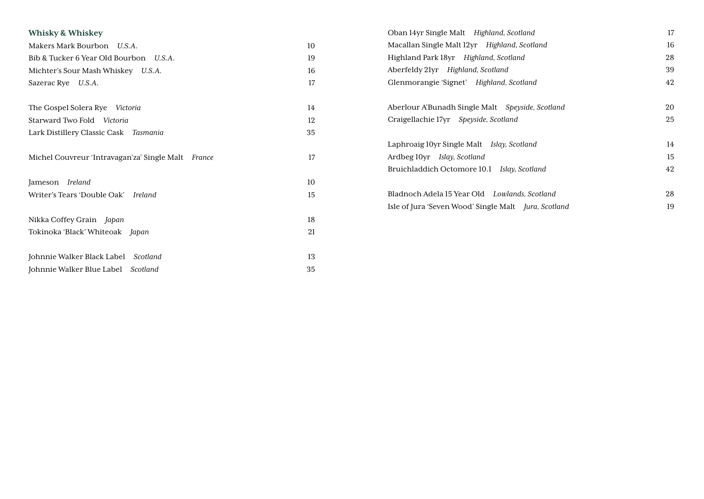| Whisky & Whiskey                                   |    | Oban 14yr Single Malt Highland, Scotland             | 17 |
|----------------------------------------------------|----|------------------------------------------------------|----|
| Makers Mark Bourbon U.S.A.                         | 10 | Macallan Single Malt 12yr Highland, Scotland         | 16 |
| Bib & Tucker 6 Year Old Bourbon U.S.A.             | 19 | Highland Park 18yr Highland, Scotland                | 28 |
| Michter's Sour Mash Whiskey U.S.A.                 | 16 | Aberfeldy 21yr Highland, Scotland                    | 39 |
| Sazerac Rye U.S.A.                                 | 17 | Glenmorangie 'Signet' Highland, Scotland             | 42 |
| The Gospel Solera Rye Victoria                     | 14 | Aberlour A'Bunadh Single Malt Speyside, Scotland     | 20 |
| Starward Two Fold Victoria                         | 12 | Craigellachie 17yr Speyside, Scotland                | 25 |
| Lark Distillery Classic Cask Tasmania              | 35 |                                                      |    |
|                                                    |    | Laphroaig 10yr Single Malt Islay, Scotland           | 14 |
| Michel Couvreur 'Intravagan'za' Single Malt France | 17 | Ardbeg 10yr Islay, Scotland                          | 15 |
|                                                    |    | Bruichladdich Octomore 10.1 Islay, Scotland          | 42 |
| Jameson Ireland                                    | 10 |                                                      |    |
| Writer's Tears 'Double Oak' Ireland                | 15 | Bladnoch Adela 15 Year Old Lowlands, Scotland        | 28 |
|                                                    |    | Isle of Jura 'Seven Wood' Single Malt Jura, Scotland | 19 |
| Nikka Coffey Grain Japan                           | 18 |                                                      |    |
| Tokinoka 'Black' Whiteoak Japan                    | 21 |                                                      |    |
| Johnnie Walker Black Label Scotland                | 13 |                                                      |    |
| Johnnie Walker Blue Label Scotland                 | 35 |                                                      |    |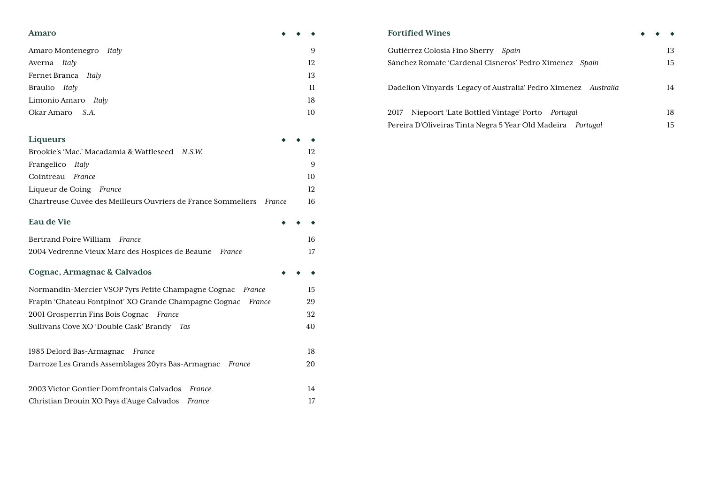## **Amaro**  $\begin{array}{ccc}\n\bullet & \bullet & \bullet\n\end{array}$  $\bullet$ Amaro Montenegro *Italy* 9 Averna *Italy* 12 Fernet Branca *Italy* 13 Braulio *Italy* 11 Limonio Amaro *Italy* 18 Okar Amaro *S.A.* 10

| Liqueurs                                                            |  |    |
|---------------------------------------------------------------------|--|----|
| Brookie's 'Mac.' Macadamia & Wattleseed N.S.W.                      |  | 12 |
| Frangelico<br>Italν                                                 |  | 9  |
| Cointreau <i>France</i>                                             |  | 10 |
| Liqueur de Coing France                                             |  | 12 |
| Chartreuse Cuvée des Meilleurs Quyriers de France Sommeliers France |  | 16 |

2004 Vedrenne Vieux Marc des Hospices de Beaune *France* 17

 $\begin{array}{ccccccccccccc} \bullet & \bullet & \bullet & \bullet & \bullet \end{array}$ 

 $\begin{array}{ccccccccccccc} \bullet & \bullet & \bullet & \bullet & \bullet \end{array}$ 

**Eau de Vie** Bertrand Poire William *France* 16

# **Cognac, Armagnac & Calvados**

| Normandin-Mercier VSOP 7yrs Petite Champagne Cognac<br>France   | 15 |
|-----------------------------------------------------------------|----|
| Frapin 'Chateau Fontpinot' XO Grande Champagne Cognac<br>France | 29 |
| 2001 Grosperrin Fins Bois Cognac France                         | 32 |
| Sullivans Cove XO 'Double Cask' Brandy<br>Tas                   | 40 |
|                                                                 |    |
| 1985 Delord Bas-Armagnac<br>France                              | 18 |
| Darroze Les Grands Assemblages 20yrs Bas-Armagnac<br>France     | 20 |
|                                                                 |    |
| 2003 Victor Gontier Domfrontais Calvados<br>France              | 14 |
| Christian Drouin XO Pays d'Auge Calvados France                 | 17 |

| <b>Fortified Wines</b>                                          |     |  |
|-----------------------------------------------------------------|-----|--|
| Gutiérrez Colosìa Fino Sherry<br>Spain                          | 13  |  |
| Sánchez Romate 'Cardenal Cisneros' Pedro Ximenez Spain          | 15  |  |
| Dadelion Vinyards 'Legacy of Australia' Pedro Ximenez Australia | 14  |  |
| Niepoort 'Late Bottled Vintage' Porto Portugal<br>2017          | 18  |  |
| Pereira D'Oliveiras Tinta Negra 5 Year Old Madeira<br>Portugal  | 15. |  |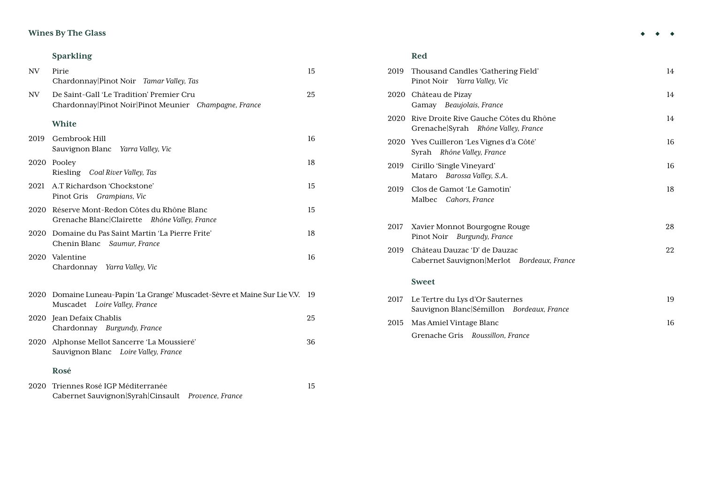# **Wines By The Glass**

## **Sparkling**

| NV   | Pirie<br>Chardonnay Pinot Noir Tamar Valley, Tas                                                            | 15 |
|------|-------------------------------------------------------------------------------------------------------------|----|
| NV.  | De Saint-Gall 'Le Tradition' Premier Cru<br>Chardonnay Pinot Noir Pinot Meunier Champagne, France           | 25 |
|      | White                                                                                                       |    |
| 2019 | Gembrook Hill<br>Sauvignon Blanc Yarra Valley, Vic                                                          | 16 |
| 2020 | Pooley<br>Riesling Coal River Valley, Tas                                                                   | 18 |
| 2021 | A.T Richardson 'Chockstone'<br>Pinot Gris Grampians, Vic                                                    | 15 |
| 2020 | Réserve Mont-Redon Côtes du Rhône Blanc<br>Grenache Blanc Clairette Rhône Valley, France                    | 15 |
| 2020 | Domaine du Pas Saint Martin 'La Pierre Frite'<br>Chenin Blanc<br>Saumur, France                             | 18 |
|      | 2020 Valentine<br>Chardonnay<br>Yarra Valley, Vic                                                           | 16 |
|      | 2020 Domaine Luneau-Papin 'La Grange' Muscadet-Sèvre et Maine Sur Lie V.V.<br>Muscadet Loire Valley, France | 19 |
|      | 2020 Jean Defaix Chablis<br>Chardonnay Burgundy, France                                                     | 25 |
|      | 2020 Alphonse Mellot Sancerre 'La Moussieré'<br>Sauvignon Blanc Loire Valley, France                        | 36 |
|      | Rosé                                                                                                        |    |
| 2020 | Triennes Rosé IGP Méditerranée<br>Cabernet Sauvignon Syrah Cinsault<br>Provence, France                     | 15 |

### **Red**

|      | 2019 Thousand Candles 'Gathering Field'<br>Pinot Noir Yarra Valley, Vic            | 14 |
|------|------------------------------------------------------------------------------------|----|
|      | 2020 Château de Pizay<br>Gamay Beaujolais, France                                  | 14 |
|      | 2020 Rive Droite Rive Gauche Côtes du Rhône<br>Grenache Syrah Rhône Valley, France | 14 |
|      | 2020 Yves Cuilleron 'Les Vignes d'a Côté'<br>Syrah Rhône Valley, France            | 16 |
| 2019 | Cirillo 'Single Vineyard'<br>Mataro Barossa Valley, S.A.                           | 16 |
| 2019 | Clos de Gamot 'Le Gamotin'<br>Malbec Cahors, France                                | 18 |
| 2017 | Xavier Monnot Bourgogne Rouge<br>Pinot Noir Burgundy, France                       | 28 |
| 2019 | Château Dauzac 'D' de Dauzac<br>Cabernet Sauvignon Merlot Bordeaux, France         | 22 |
|      | <b>Sweet</b>                                                                       |    |
| 2017 | Le Tertre du Lys d'Or Sauternes<br>Sauvignon Blanc Sémillon Bordeaux, France       | 19 |
| 2015 | Mas Amiel Vintage Blanc                                                            | 16 |
|      | Grenache Gris Roussillon, France                                                   |    |

 $\begin{array}{ccccccccc}\n\bullet & & \bullet & & \bullet & & \bullet & & \bullet\n\end{array}$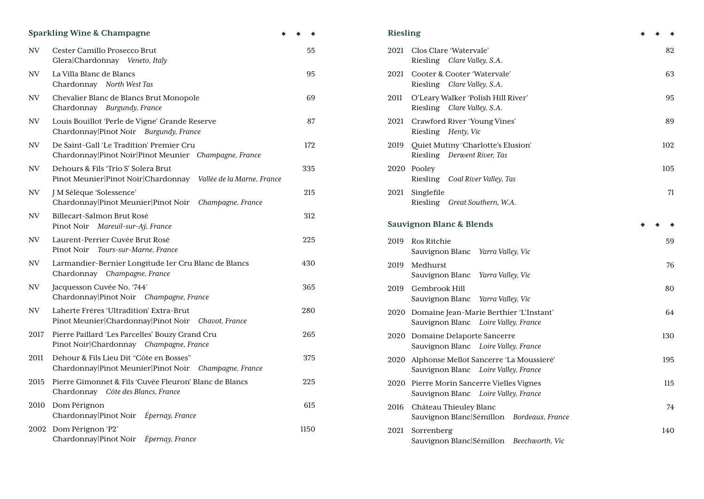|      | <b>Sparkling Wine &amp; Champagne</b>                                                                 |      |  |
|------|-------------------------------------------------------------------------------------------------------|------|--|
| NV   | Cester Camillo Prosecco Brut<br>Glera Chardonnay Veneto, Italy                                        | 55   |  |
| NV   | La Villa Blanc de Blancs<br>Chardonnay North West Tas                                                 | 95   |  |
| NV   | Chevalier Blanc de Blancs Brut Monopole<br>Chardonnay Burgundy, France                                | 69   |  |
| NV   | Louis Bouillot 'Perle de Vigne' Grande Reserve<br>Chardonnay Pinot Noir Burgundy, France              | 87   |  |
| NV   | De Saint-Gall 'Le Tradition' Premier Cru<br>Chardonnay Pinot Noir Pinot Meunier Champagne, France     | 172  |  |
| NV   | Dehours & Fils 'Trio S' Solera Brut<br>Pinot Meunier Pinot Noir Chardonnay Vallée de la Marne, France | 335  |  |
| NV   | J M Sélèque 'Solessence'<br>Chardonnay Pinot Meunier Pinot Noir<br>Champagne, France                  | 215  |  |
| NV   | Billecart-Salmon Brut Rosé<br>Pinot Noir<br>Mareuil-sur-Aji, France                                   | 312  |  |
| NV   | Laurent-Perrier Cuvée Brut Rosé<br>Pinot Noir<br>Tours-sur-Marne, France                              | 225  |  |
| NV   | Larmandier-Bernier Longitude ler Cru Blanc de Blancs<br>Chardonnay Champagne, France                  | 430  |  |
| NV   | Jacquesson Cuvée No. '744'<br>Chardonnay Pinot Noir<br>Champagne, France                              | 365  |  |
| NV   | Laherte Frères 'Ultradition' Extra-Brut<br>Pinot Meunier Chardonnay Pinot Noir Chavot, France         | 280  |  |
| 2017 | Pierre Paillard 'Les Parcelles' Bouzy Grand Cru<br>Pinot Noir Chardonnay Champagne, France            | 265  |  |
| 2011 | Dehour & Fils Lieu Dit "Côte en Bosses"<br>Chardonnay Pinot Meunier Pinot Noir<br>Champagne, France   | 375  |  |
| 2015 | Pierre Gimonnet & Fils 'Cuvée Fleuron' Blanc de Blancs<br>Chardonnay Côte des Blancs, France          | 225  |  |
| 2010 | Dom Pérignon<br>Chardonnay Pinot Noir<br>Épernay, France                                              | 615  |  |
|      | 2002 Dom Pérignon 'P2'<br>Chardonnay Pinot Noir<br>Épernay, France                                    | 1150 |  |

| <b>Riesling</b> |                                                                                      |     |
|-----------------|--------------------------------------------------------------------------------------|-----|
| 2021            | Clos Clare 'Watervale'<br>Riesling<br>Clare Valley, S.A.                             | 82  |
| 2021            | Cooter & Cooter 'Watervale'<br>Riesling<br>Clare Valley, S.A.                        | 63  |
| 2011            | O'Leary Walker 'Polish Hill River'<br>Riesling<br>Clare Valley, S.A.                 | 95  |
| 2021            | Crawford River 'Young Vines'<br>Riesling<br>Henty, Vic                               | 89  |
| 2019            | Quiet Mutiny 'Charlotte's Elusion'<br>Riesling<br>Derwent River, Tas                 | 102 |
|                 | 2020 Pooley<br>Riesling<br>Coal River Valley, Tas                                    | 105 |
| 2021            | Singlefile<br>Riesling<br>Great Southern, W.A.                                       | 71  |
|                 | <b>Sauvignon Blanc &amp; Blends</b>                                                  |     |
| 2019            | Ros Ritchie<br>Sauvignon Blanc<br>Yarra Valley, Vic                                  | 59  |
| 2019            | Medhurst<br>Sauvignon Blanc<br>Yarra Valley, Vic                                     | 76  |
| 2019            | Gembrook Hill<br>Sauvignon Blanc<br>Yarra Valley, Vic                                | 80  |
|                 | 2020 Domaine Jean-Marie Berthier 'L'Instant'<br>Sauvignon Blanc Loire Valley, France | 64  |
|                 | 2020 Domaine Delaporte Sancerre<br>Sauvignon Blanc<br>Loire Valley, France           | 130 |
| 2020            | Alphonse Mellot Sancerre 'La Moussieré'<br>Sauvignon Blanc<br>Loire Valley, France   | 195 |
|                 | 2020 Pierre Morin Sancerre Vielles Vignes<br>Sauvignon Blanc<br>Loire Valley, France | 115 |
| 2016            | Château Thieuley Blanc<br>Sauvignon Blanc Sémillon Bordeaux, France                  | 74  |
| 2021            | Sorrenberg<br>Sauvignon Blanc Sémillon<br>Beechworth, Vic                            | 140 |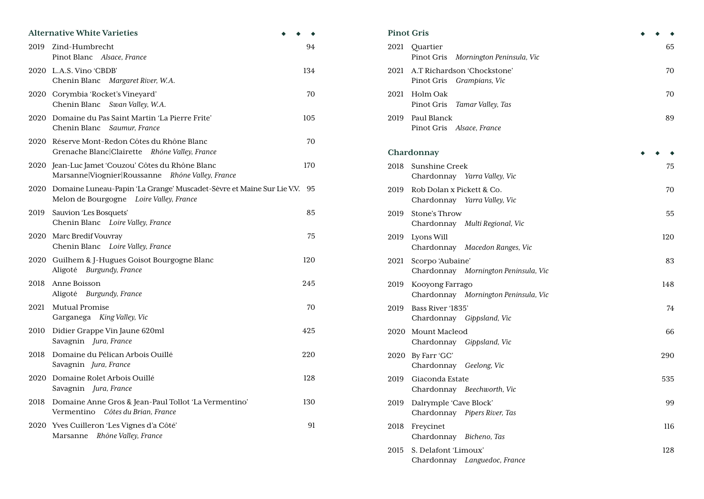|      | <b>Alternative White Varieties</b>                                                                                    |     |
|------|-----------------------------------------------------------------------------------------------------------------------|-----|
| 2019 | Zind-Humbrecht<br>Pinot Blanc Alsace, France                                                                          | 94  |
|      | 2020 L.A.S. Vino 'CBDB'<br>Chenin Blanc Margaret River, W.A.                                                          | 134 |
|      | 2020 Corymbia 'Rocket's Vineyard'<br>Chenin Blanc Swan Valley, W.A.                                                   | 70  |
|      | 2020 Domaine du Pas Saint Martin 'La Pierre Frite'<br>Chenin Blanc<br>Saumur, France                                  | 105 |
|      | 2020 Réserve Mont-Redon Côtes du Rhône Blanc<br>Grenache Blanc Clairette Rhône Valley, France                         | 70  |
|      | 2020 Jean-Luc Jamet 'Couzou' Côtes du Rhône Blanc<br>Marsanne Viognier Roussanne Rhône Valley, France                 | 170 |
|      | 2020 Domaine Luneau-Papin 'La Grange' Muscadet-Sèvre et Maine Sur Lie V.V.<br>Melon de Bourgogne Loire Valley, France | 95  |
| 2019 | Sauvion 'Les Bosquets'<br>Chenin Blanc Loire Valley, France                                                           | 85  |
|      | 2020 Marc Bredif Vouvray<br>Chenin Blanc Loire Valley, France                                                         | 75  |
|      | 2020 Guilhem & J-Hugues Goisot Bourgogne Blanc<br>Aligoté<br>Burgundy, France                                         | 120 |
| 2018 | Anne Boisson<br>Aligoté Burgundy, France                                                                              | 245 |
| 2021 | <b>Mutual Promise</b><br>Garganega King Valley, Vic                                                                   | 70  |
| 2010 | Didier Grappe Vin Jaune 620ml<br>Savagnin <i>Jura</i> , France                                                        | 425 |
| 2018 | Domaine du Pélican Arbois Ouillé<br>Savagnin Jura, France                                                             | 220 |
|      | 2020 Domaine Rolet Arbois Ouillé<br>Savagnin <i>Jura</i> , France                                                     | 128 |
| 2018 | Domaine Anne Gros & Jean-Paul Tollot 'La Vermentino'<br>Vermentino Côtes du Brian, France                             | 130 |
| 2020 | Yves Cuilleron 'Les Vignes d'a Côté'<br>Marsanne Rhône Valley, France                                                 | 91  |

| <b>Pinot Gris</b>                                                   |                                                                   |
|---------------------------------------------------------------------|-------------------------------------------------------------------|
| 2021<br>Quartier<br>Pinot Gris<br>Mornington Peninsula, Vic         | 65                                                                |
| A.T Richardson 'Chockstone'<br>2021<br>Pinot Gris<br>Grampians, Vic | 70                                                                |
| 2021<br>Holm Oak<br>Pinot Gris<br>Tamar Valley, Tas                 | 70                                                                |
| Paul Blanck<br>2019<br>Pinot Gris<br>Alsace, France                 | 89                                                                |
| Chardonnay                                                          |                                                                   |
| Sunshine Creek<br>2018<br>Chardonnay Yarra Valley, Vic              | 75                                                                |
| 2019<br>Rob Dolan x Pickett & Co.<br>Chardonnay Yarra Valley, Vic   | 70                                                                |
| 2019<br>Stone's Throw<br>Chardonnay<br>Multi Regional, Vic          | 55                                                                |
| 2019<br>Lyons Will<br>Chardonnay<br>Macedon Ranges, Vic             | 120                                                               |
| 2021<br>Scorpo 'Aubaine'<br>Mornington Peninsula, Vic<br>Chardonnay | 83                                                                |
| 2019<br>Kooyong Farrago<br>Chardonnay<br>Mornington Peninsula, Vic  | 148                                                               |
| 2019<br>Bass River '1835'<br>Chardonnay                             | 74                                                                |
| 2020 Mount Macleod<br>Chardonnay                                    | 66                                                                |
| 2020 By Farr 'GC'<br>Chardonnay<br>Geelong, Vic                     | 290                                                               |
| 2019<br>Giaconda Estate                                             | 535                                                               |
| 2019<br>Dalrymple 'Cave Block'<br>Chardonnay Pipers River, Tas      | 99                                                                |
| 2018<br>Freycinet<br>Chardonnay<br>Bicheno, Tas                     | 116                                                               |
| 2015<br>S. Delafont 'Limoux'<br>Languedoc, France<br>Chardonnay     | 128                                                               |
|                                                                     | Gippsland, Vic<br>Gippsland, Vic<br>Chardonnay<br>Beechworth, Vic |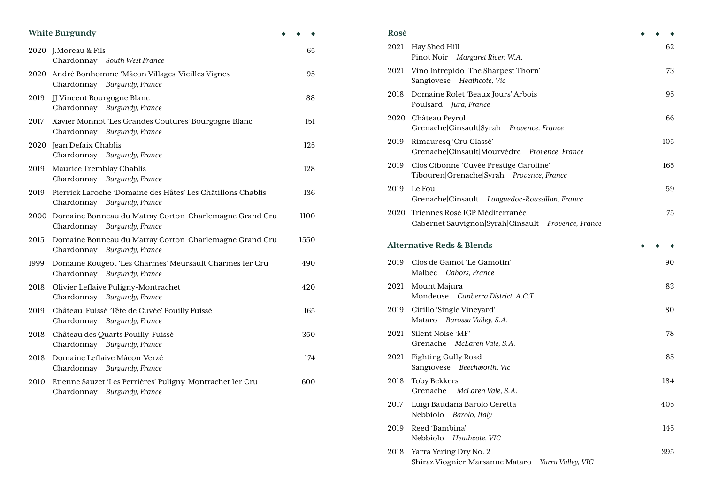|      | <b>White Burgundy</b>                                                                      |      |
|------|--------------------------------------------------------------------------------------------|------|
|      | 2020 J.Moreau & Fils<br>Chardonnay South West France                                       | 65   |
|      | 2020 André Bonhomme 'Mâcon Villages' Vieilles Vignes<br>Chardonnay Burgundy, France        | 95   |
| 2019 | <b>JJ Vincent Bourgogne Blanc</b><br>Chardonnay Burgundy, France                           | 88   |
| 2017 | Xavier Monnot 'Les Grandes Coutures' Bourgogne Blanc<br>Chardonnay Burgundy, France        | 151  |
| 2020 | Jean Defaix Chablis<br>Chardonnay Burgundy, France                                         | 125  |
| 2019 | Maurice Tremblay Chablis<br>Chardonnay Burgundy, France                                    | 128  |
| 2019 | Pierrick Laroche 'Domaine des Hâtes' Les Châtillons Chablis<br>Chardonnay Burgundy, France | 136  |
|      | 2000 Domaine Bonneau du Matray Corton-Charlemagne Grand Cru<br>Chardonnay Burgundy, France | 1100 |
| 2015 | Domaine Bonneau du Matray Corton-Charlemagne Grand Cru<br>Chardonnay Burgundy, France      | 1550 |
| 1999 | Domaine Rougeot 'Les Charmes' Meursault Charmes ler Cru<br>Chardonnay Burgundy, France     | 490  |
| 2018 | Olivier Leflaive Puligny-Montrachet<br>Chardonnay Burgundy, France                         | 420  |
| 2019 | Château-Fuissé 'Tête de Cuvée' Pouilly Fuissé<br>Chardonnay Burgundy, France               | 165  |
| 2018 | Château des Quarts Pouilly-Fuissé<br>Chardonnay Burgundy, France                           | 350  |
| 2018 | Domaine Leflaive Mâcon-Verzé<br>Chardonnay Burgundy, France                                | 174  |
| 2010 | Etienne Sauzet 'Les Perrières' Puligny-Montrachet ler Cru<br>Chardonnay Burgundy, France   | 600  |

| Rosé |                                                                                           |     |
|------|-------------------------------------------------------------------------------------------|-----|
| 2021 | Hay Shed Hill<br>Pinot Noir Margaret River, W.A.                                          | 62  |
| 2021 | Vino Intrepido 'The Sharpest Thorn'<br>Sangiovese Heathcote, Vic                          | 73  |
| 2018 | Domaine Rolet 'Beaux Jours' Arbois<br>Poulsard Jura, France                               | 95  |
|      | 2020 Château Peyrol<br>Grenache Cinsault Syrah Provence, France                           | 66  |
| 2019 | Rimauresq 'Cru Classé'<br>Grenache Cinsault Mourvèdre Provence, France                    | 105 |
| 2019 | Clos Cibonne 'Cuvée Prestige Caroline'<br>Tibouren Grenache Syrah Provence, France        | 165 |
| 2019 | Le Fou<br>Grenache Cinsault Languedoc-Roussillon, France                                  | 59  |
|      | 2020 Triennes Rosé IGP Méditerranée<br>Cabernet Sauvignon Syrah Cinsault Provence, France | 75  |
|      | <b>Alternative Reds &amp; Blends</b>                                                      |     |
| 2019 | Clos de Gamot 'Le Gamotin'<br>Malbec Cahors, France                                       | 90  |
| 2021 | Mount Majura<br>Mondeuse Canberra District, A.C.T.                                        | 83  |
| 2019 | Cirillo 'Single Vineyard'<br>Mataro Barossa Valley, S.A.                                  | 80  |
| 2021 | Silent Noise 'MF'<br>Grenache McLaren Vale, S.A.                                          | 78  |
| 2021 | Fighting Gully Road<br>Sangiovese Beechworth, Vic                                         | 85  |
| 2018 | Toby Bekkers<br>Grenache<br>McLaren Vale, S.A.                                            | 184 |
|      | 2017 Luigi Baudana Barolo Ceretta<br>Nebbiolo<br>Barolo, Italy                            | 405 |
| 2019 | Reed 'Bambina'<br>Nebbiolo<br>Heathcote, VIC                                              | 145 |
| 2018 | Yarra Yering Dry No. 2<br>Shiraz Viognier Marsanne Mataro<br>Yarra Valley, VIC            | 395 |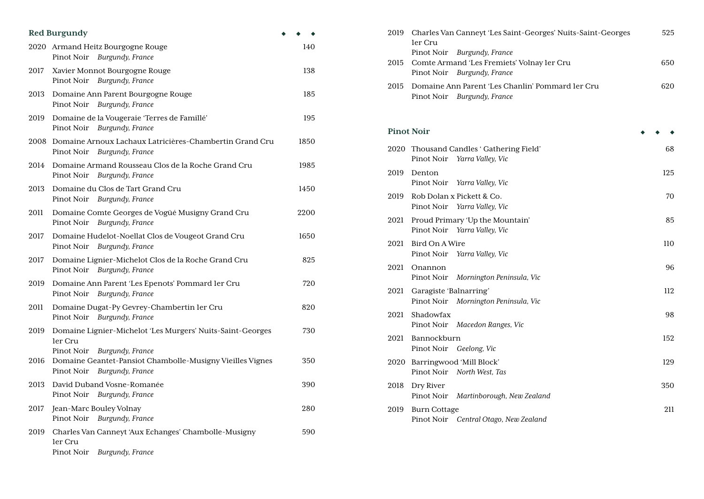|      | <b>Red Burgundy</b>                                                                                                           |      |  |
|------|-------------------------------------------------------------------------------------------------------------------------------|------|--|
|      | 2020 Armand Heitz Bourgogne Rouge<br>Burgundy, France<br>Pinot Noir                                                           | 140  |  |
| 2017 | Xavier Monnot Bourgogne Rouge<br>Burgundy, France<br>Pinot Noir                                                               | 138  |  |
| 2013 | Domaine Ann Parent Bourgogne Rouge<br>Burgundy, France<br>Pinot Noir                                                          | 185  |  |
| 2019 | Domaine de la Vougeraie 'Terres de Famillé'<br>Pinot Noir<br>Burgundy, France                                                 | 195  |  |
|      | 2008 Domaine Arnoux Lachaux Latricières-Chambertin Grand Cru<br>Pinot Noir<br>Burgundy, France                                | 1850 |  |
| 2014 | Domaine Armand Rousseau Clos de la Roche Grand Cru<br>Pinot Noir<br>Burgundy, France                                          | 1985 |  |
| 2013 | Domaine du Clos de Tart Grand Cru<br>Pinot Noir<br>Burgundy, France                                                           | 1450 |  |
| 2011 | Domaine Comte Georges de Vogüé Musigny Grand Cru<br>Pinot Noir<br>Burgundy, France                                            | 2200 |  |
| 2017 | Domaine Hudelot-Noellat Clos de Vougeot Grand Cru<br>Pinot Noir<br>Burgundy, France                                           | 1650 |  |
| 2017 | Domaine Lignier-Michelot Clos de la Roche Grand Cru<br>Burgundy, France<br>Pinot Noir                                         | 825  |  |
| 2019 | Domaine Ann Parent 'Les Epenots' Pommard ler Cru<br>Pinot Noir<br>Burgundy, France                                            | 720  |  |
| 2011 | Domaine Dugat-Py Gevrey-Chambertin ler Cru<br>Pinot Noir<br>Burgundy, France                                                  | 820  |  |
| 2019 | Domaine Lignier-Michelot 'Les Murgers' Nuits-Saint-Georges<br>ler Cru                                                         | 730  |  |
| 2016 | Pinot Noir<br>Burgundy, France<br>Domaine Geantet-Pansiot Chambolle-Musigny Vieilles Vignes<br>Pinot Noir<br>Burgundy, France | 350  |  |
| 2013 | David Duband Vosne-Romanée<br>Pinot Noir<br>Burgundy, France                                                                  | 390  |  |
| 2017 | Jean-Marc Bouley Volnay<br>Burgundy, France<br>Pinot Noir                                                                     | 280  |  |
| 2019 | Charles Van Canneyt 'Aux Echanges' Chambolle-Musigny<br>ler Cru<br>Pinot Noir<br>Burgundy, France                             | 590  |  |

| 2019 | Charles Van Canneyt 'Les Saint-Georges' Nuits-Saint-Georges<br>ler Cru                                         | 525 |
|------|----------------------------------------------------------------------------------------------------------------|-----|
| 2015 | Pinot Noir<br>Burgundy, France<br>Comte Armand 'Les Fremiets' Volnay ler Cru<br>Pinot Noir<br>Burgundy, France | 650 |
| 2015 | Domaine Ann Parent 'Les Chanlin' Pommard ler Cru<br>Pinot Noir Burgundy, France                                | 620 |
|      | <b>Pinot Noir</b>                                                                                              |     |
| 2020 | Thousand Candles ' Gathering Field'<br>Pinot Noir<br>Yarra Valley, Vic                                         | 68  |
| 2019 | Denton<br>Pinot Noir Yarra Valley, Vic                                                                         | 125 |
| 2019 | Rob Dolan x Pickett & Co.<br>Pinot Noir<br>Yarra Valley, Vic                                                   | 70  |
| 2021 | Proud Primary 'Up the Mountain'<br>Pinot Noir<br>Yarra Valley, Vic                                             | 85  |
| 2021 | Bird On A Wire<br>Pinot Noir<br>Yarra Valley, Vic                                                              | 110 |
| 2021 | Onannon<br>Pinot Noir<br>Mornington Peninsula, Vic                                                             | 96  |
| 2021 | Garagiste 'Balnarring'<br>Pinot Noir<br>Mornington Peninsula, Vic                                              | 112 |
| 2021 | Shadowfax<br>Pinot Noir<br>Macedon Ranges, Vic                                                                 | 98  |
| 2021 | Bannockburn<br>Pinot Noir<br>Geelong, Vic                                                                      | 152 |
| 2020 | Barringwood 'Mill Block'<br>Pinot Noir North West, Tas                                                         | 129 |
| 2018 | Dry River<br>Pinot Noir<br>Martinborough, New Zealand                                                          | 350 |
| 2019 | <b>Burn Cottage</b><br>Pinot Noir Central Otago, New Zealand                                                   | 211 |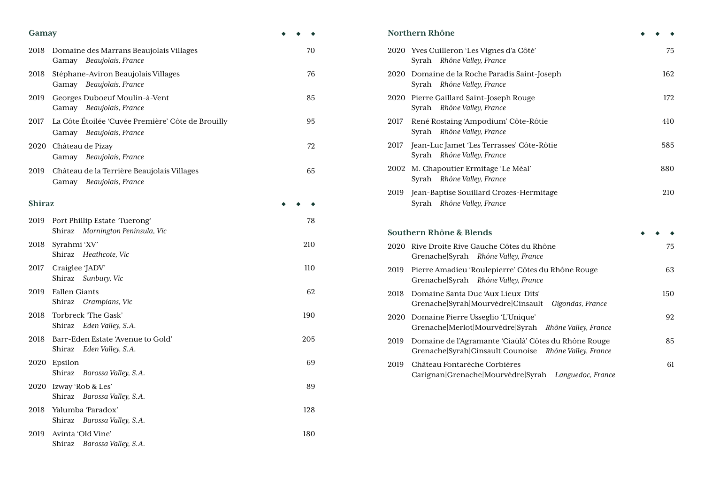| Gamay         |                                                                               |  |     |
|---------------|-------------------------------------------------------------------------------|--|-----|
| 2018          | Domaine des Marrans Beaujolais Villages<br>Beaujolais, France<br>Gamay        |  | 70  |
| 2018          | Stéphane-Aviron Beaujolais Villages<br>Gamay Beaujolais, France               |  | 76  |
| 2019          | Georges Duboeuf Moulin-à-Vent<br>Gamay<br>Beaujolais, France                  |  | 85  |
| 2017          | La Côte Étoilée 'Cuvée Première' Côte de Brouilly<br>Gamay Beaujolais, France |  | 95  |
| 2020          | Château de Pizay<br>Gamay Beaujolais, France                                  |  | 72  |
| 2019          | Château de la Terrière Beaujolais Villages<br>Gamay<br>Beaujolais, France     |  | 65  |
| <b>Shiraz</b> |                                                                               |  |     |
| 2019          | Port Phillip Estate 'Tuerong'<br>Mornington Peninsula, Vic<br>Shiraz          |  | 78  |
| 2018          | Syrahmi 'XV'<br>Heathcote, Vic<br>Shiraz                                      |  | 210 |
| 2017          | Craiglee 'JADV'<br>Shiraz Sunbury, Vic                                        |  | 110 |
| 2019          | Fallen Giants<br>Shiraz<br>Grampians, Vic                                     |  | 62  |
| 2018          | Torbreck 'The Gask'<br>Shiraz<br>Eden Valley, S.A.                            |  | 190 |
| 2018          | Barr-Eden Estate 'Avenue to Gold'<br>Shiraz<br>Eden Valley, S.A.              |  | 205 |
| 2020          | Epsilon<br>Shiraz<br>Barossa Valley, S.A.                                     |  | 69  |
|               | 2020 Izway 'Rob & Les'<br>Shiraz<br>Barossa Valley, S.A.                      |  | 89  |
| 2018          | Yalumba 'Paradox'<br>Shiraz<br>Barossa Valley, S.A.                           |  | 128 |
| 2019          | Avinta 'Old Vine'<br>Barossa Valley, S.A.<br>Shiraz                           |  | 180 |

|      | Northern Rhône                                                                                                |     |
|------|---------------------------------------------------------------------------------------------------------------|-----|
|      | 2020 Yves Cuilleron 'Les Vignes d'a Côté'<br>Syrah Rhône Valley, France                                       | 75  |
|      | 2020 Domaine de la Roche Paradis Saint-Joseph<br>Rhône Valley, France<br>Syrah                                | 162 |
|      | 2020 Pierre Gaillard Saint-Joseph Rouge<br>Syrah Rhône Valley, France                                         | 172 |
| 2017 | René Rostaing 'Ampodium' Côte-Rôtie<br>Rhône Valley, France<br>Syrah                                          | 410 |
| 2017 | Jean-Luc Jamet 'Les Terrasses' Côte-Rôtie<br>Syrah Rhône Valley, France                                       | 585 |
|      | 2002 M. Chapoutier Ermitage 'Le Méal'<br>Rhône Valley, France<br>Syrah                                        | 880 |
| 2019 | Jean-Baptise Souillard Crozes-Hermitage<br>Syrah Rhône Valley, France                                         | 210 |
|      | Southern Rhône & Blends                                                                                       |     |
|      | 2020 Rive Droite Rive Gauche Côtes du Rhône<br>Grenache Syrah Rhône Valley, France                            | 75  |
| 2019 | Pierre Amadieu 'Roulepierre' Côtes du Rhône Rouge<br>Grenache Syrah Rhône Valley, France                      | 63  |
| 2018 | Domaine Santa Duc 'Aux Lieux-Dits'<br>Grenache Syrah Mourvèdre Cinsault Gigondas, France                      | 150 |
|      | 2020 Domaine Pierre Usseglio 'L'Unique'<br>Grenache Merlot Mourvèdre Syrah Rhône Valley, France               | 92  |
| 2019 | Domaine de l'Agramante 'Ciaülà' Côtes du Rhône Rouge<br>Grenache Syrah Cinsault Counoise Rhône Valley, France | 85  |
| 2019 | Château Fontarèche Corbières<br>Carignan Grenache Mourvèdre Syrah Languedoc, France                           | 61  |
|      |                                                                                                               |     |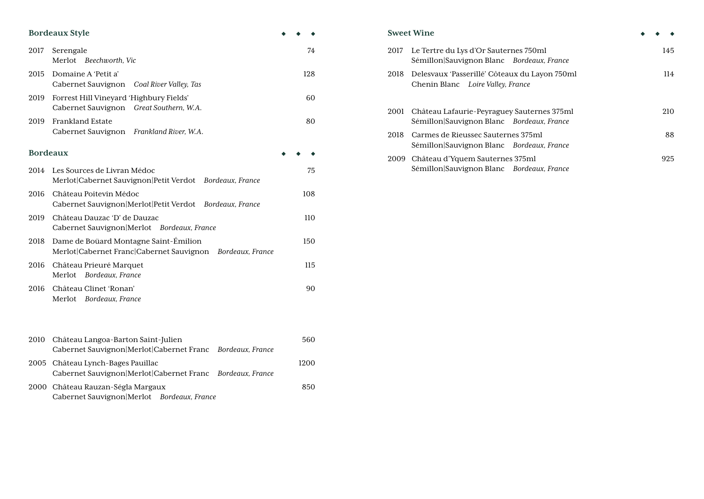|                 | <b>Bordeaux Style</b>                                                                              |  |     |  |
|-----------------|----------------------------------------------------------------------------------------------------|--|-----|--|
| 2017            | Serengale<br>Merlot Beechworth, Vic                                                                |  | 74  |  |
| 2015            | Domaine A 'Petit a'<br>Cabernet Sauvignon<br>Coal River Valleγ, Tas                                |  | 128 |  |
| 2019            | Forrest Hill Vineyard 'Highbury Fields'<br>Cabernet Sauvignon Great Southern, W.A.                 |  | 60  |  |
| 2019            | <b>Frankland Estate</b><br>Cabernet Sauvignon Frankland River, W.A.                                |  | 80  |  |
| <b>Bordeaux</b> |                                                                                                    |  |     |  |
| 2014            | Les Sources de Livran Médoc<br>Merlot Cabernet Sauvignon Petit Verdot Bordeaux, France             |  | 75  |  |
| 2016            | Château Poitevin Médoc<br>Cabernet Sauvignon Merlot Petit Verdot Bordeaux, France                  |  | 108 |  |
| 2019            | Château Dauzac 'D' de Dauzac<br>Cabernet Sauvignon Merlot Bordeaux, France                         |  | 110 |  |
| 2018            | Dame de Boüard Montagne Saint-Émilion<br>Merlot Cabernet Franc Cabernet Sauvignon Bordeaux, France |  | 150 |  |
| 2016            | Château Prieuré Marquet<br>Merlot<br>Bordeaux, France                                              |  | 115 |  |
| 2016            | Château Clinet 'Ronan'<br>Merlot Bordeaux, France                                                  |  | 90  |  |

| 2010 Château Langoa-Barton Saint-Julien                                                        | 560  |
|------------------------------------------------------------------------------------------------|------|
| Cabernet Sauvignon Merlot Cabernet Franc Bordeaux, France                                      |      |
| 2005 Château Lynch-Bages Pauillac<br>Cabernet Sauvignon Merlot Cabernet Franc Bordeaux, France | 1200 |
| 2000 Château Rauzan-Ségla Margaux                                                              | 850  |
| Cabernet Sauvignon Merlot Bordeaux, France                                                     |      |

|      | <b>Sweet Wine</b>                                                                       |     |
|------|-----------------------------------------------------------------------------------------|-----|
| 2017 | Le Tertre du Lys d'Or Sauternes 750ml<br>Sémillon Sauvignon Blanc Bordeaux, France      | 145 |
| 2018 | Delesvaux 'Passerillé' Côteaux du Layon 750ml<br>Chenin Blanc Loire Valley, France      | 114 |
| 2001 | Château Lafaurie-Peyraguey Sauternes 375ml<br>Sémillon Sauvignon Blanc Bordeaux, France | 210 |
| 2018 | Carmes de Rieussec Sauternes 375ml<br>Sémillon Sauvignon Blanc Bordeaux, France         | 88  |
| 2009 | Château d'Yquem Sauternes 375ml<br>Sémillon Sauvignon Blanc Bordeaux, France            | 925 |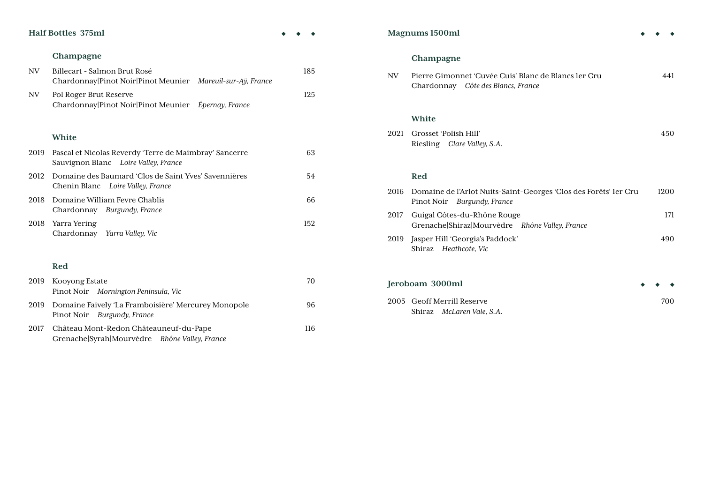#### $\bullet$  $\bullet$   $\bullet$

# **Magnums 1500ml**

#### $\blacklozenge$  $\bullet$

## **Champagne**

| NV | Pierre Gimonnet 'Cuvée Cuis' Blanc de Blancs 1er Cru | 441 |
|----|------------------------------------------------------|-----|
|    | Chardonnay Côte des Blancs, France                   |     |

## **White**

|  | 2021 Grosset 'Polish Hill' |                             | 450 |
|--|----------------------------|-----------------------------|-----|
|  |                            | Riesling Clare Valley, S.A. |     |

### **Red**

| 2016 | Domaine de l'Arlot Nuits-Saint-Georges 'Clos des Forêts' ler Cru              | 1200 |
|------|-------------------------------------------------------------------------------|------|
|      | Pinot Noir Burgundy, France                                                   |      |
| 2017 | Guigal Côtes-du-Rhône Rouge<br>Grenache Shiraz Mourvèdre Rhône Valley, France | 171  |
| 2019 | Jasper Hill 'Georgia's Paddock'<br>Shiraz Heathcote, Vic                      | 490  |

| Jeroboam 3000ml |                              | $\bullet$ $\bullet$ $\bullet$ |     |
|-----------------|------------------------------|-------------------------------|-----|
|                 | 2005   Geoff Merrill Reserve |                               | 700 |
|                 | Shiraz McLaren Vale, S.A.    |                               |     |

## **Champagne**

| NV.  | Billecart - Salmon Brut Rosé<br>Chardonnay Pinot Noir Pinot Meunier Mareuil-sur-Ay, France     | 185 |
|------|------------------------------------------------------------------------------------------------|-----|
| NV.  | Pol Roger Brut Reserve<br>Chardonnay Pinot Noir Pinot Meunier Epernay, France                  | 125 |
|      | White                                                                                          |     |
| 2019 | Pascal et Nicolas Reverdy 'Terre de Maimbray' Sancerre<br>Sauvignon Blanc Loire Valleγ, France | 63  |
| 2012 | Domaine des Baumard 'Clos de Saint Yves' Savennières<br>Chenin Blanc Loire Valley, France      | 54  |
| 2018 | Domaine William Fevre Chablis<br>Chardonnay Burgundy, France                                   | 66  |
| 2018 | Yarra Yering<br>Chardonnay Yarra Valley, Vic                                                   | 152 |
|      |                                                                                                |     |

# **Red**

|      | 2019 Kooyong Estate                                                                     |      |
|------|-----------------------------------------------------------------------------------------|------|
|      | Pinot Noir Mornington Peninsula, Vic                                                    |      |
| 2019 | Domaine Faively 'La Framboisière' Mercurey Monopole<br>Pinot Noir Burgundy, France      | 96   |
| 2017 | Château Mont-Redon Châteauneuf-du-Pape<br>Grenache Syrah Mourvèdre Rhône Valley, France | 116. |